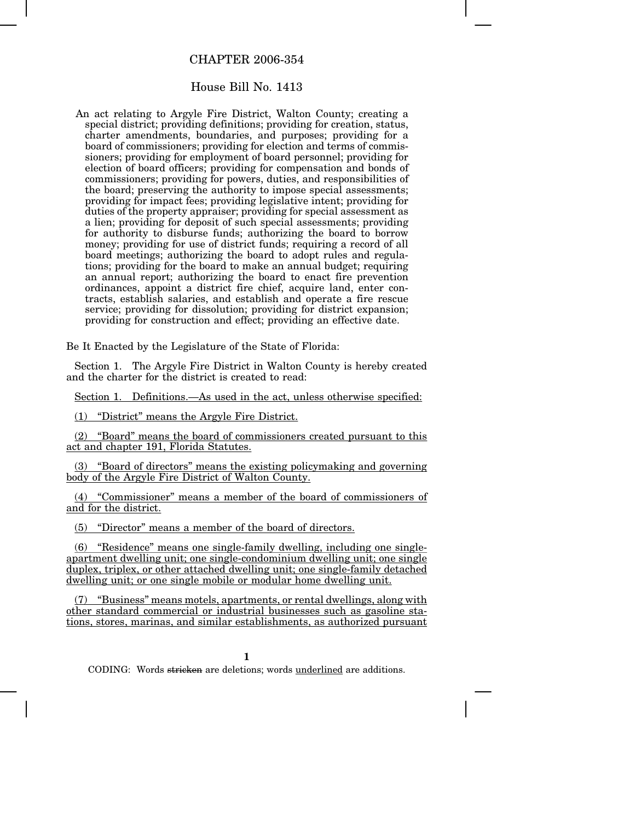## CHAPTER 2006-354

## House Bill No. 1413

An act relating to Argyle Fire District, Walton County; creating a special district; providing definitions; providing for creation, status, charter amendments, boundaries, and purposes; providing for a board of commissioners; providing for election and terms of commissioners; providing for employment of board personnel; providing for election of board officers; providing for compensation and bonds of commissioners; providing for powers, duties, and responsibilities of the board; preserving the authority to impose special assessments; providing for impact fees; providing legislative intent; providing for duties of the property appraiser; providing for special assessment as a lien; providing for deposit of such special assessments; providing for authority to disburse funds; authorizing the board to borrow money; providing for use of district funds; requiring a record of all board meetings; authorizing the board to adopt rules and regulations; providing for the board to make an annual budget; requiring an annual report; authorizing the board to enact fire prevention ordinances, appoint a district fire chief, acquire land, enter contracts, establish salaries, and establish and operate a fire rescue service; providing for dissolution; providing for district expansion; providing for construction and effect; providing an effective date.

Be It Enacted by the Legislature of the State of Florida:

Section 1. The Argyle Fire District in Walton County is hereby created and the charter for the district is created to read:

Section 1. Definitions.—As used in the act, unless otherwise specified:

(1) "District" means the Argyle Fire District.

(2) "Board" means the board of commissioners created pursuant to this act and chapter 191, Florida Statutes.

(3) "Board of directors" means the existing policymaking and governing body of the Argyle Fire District of Walton County.

(4) "Commissioner" means a member of the board of commissioners of and for the district.

(5) "Director" means a member of the board of directors.

(6) "Residence" means one single-family dwelling, including one singleapartment dwelling unit; one single-condominium dwelling unit; one single duplex, triplex, or other attached dwelling unit; one single-family detached dwelling unit; or one single mobile or modular home dwelling unit.

(7) "Business" means motels, apartments, or rental dwellings, along with other standard commercial or industrial businesses such as gasoline stations, stores, marinas, and similar establishments, as authorized pursuant

**1**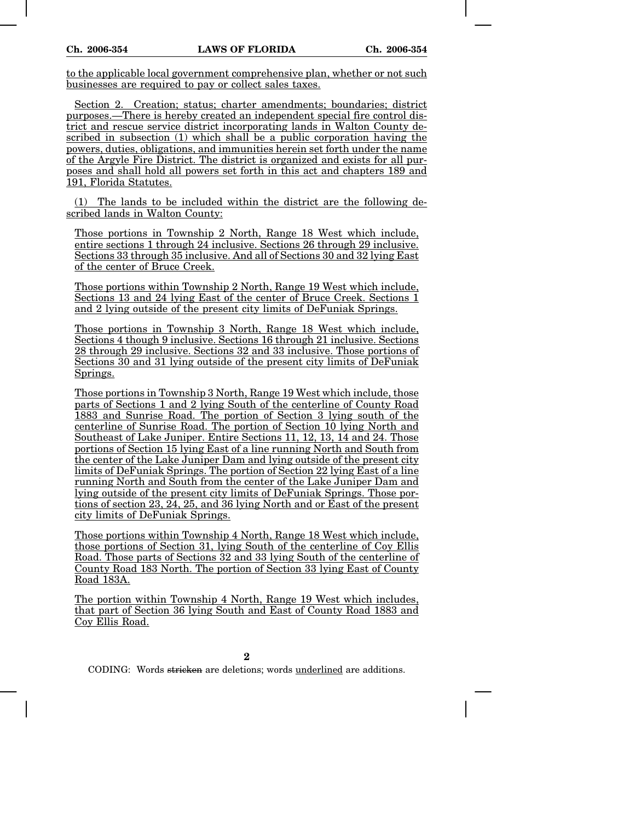to the applicable local government comprehensive plan, whether or not such businesses are required to pay or collect sales taxes.

Section 2. Creation; status; charter amendments; boundaries; district purposes.—There is hereby created an independent special fire control district and rescue service district incorporating lands in Walton County described in subsection (1) which shall be a public corporation having the powers, duties, obligations, and immunities herein set forth under the name of the Argyle Fire District. The district is organized and exists for all purposes and shall hold all powers set forth in this act and chapters 189 and 191, Florida Statutes.

(1) The lands to be included within the district are the following described lands in Walton County:

Those portions in Township 2 North, Range 18 West which include, entire sections 1 through 24 inclusive. Sections 26 through 29 inclusive. Sections 33 through 35 inclusive. And all of Sections 30 and 32 lying East of the center of Bruce Creek.

Those portions within Township 2 North, Range 19 West which include, Sections 13 and 24 lying East of the center of Bruce Creek. Sections 1 and 2 lying outside of the present city limits of DeFuniak Springs.

Those portions in Township 3 North, Range 18 West which include, Sections 4 though 9 inclusive. Sections 16 through 21 inclusive. Sections 28 through 29 inclusive. Sections 32 and 33 inclusive. Those portions of Sections 30 and 31 lying outside of the present city limits of DeFuniak Springs.

Those portions in Township 3 North, Range 19 West which include, those parts of Sections 1 and 2 lying South of the centerline of County Road 1883 and Sunrise Road. The portion of Section 3 lying south of the centerline of Sunrise Road. The portion of Section 10 lying North and Southeast of Lake Juniper. Entire Sections 11, 12, 13, 14 and 24. Those portions of Section 15 lying East of a line running North and South from the center of the Lake Juniper Dam and lying outside of the present city limits of DeFuniak Springs. The portion of Section 22 lying East of a line running North and South from the center of the Lake Juniper Dam and lying outside of the present city limits of DeFuniak Springs. Those portions of section 23, 24, 25, and 36 lying North and or East of the present city limits of DeFuniak Springs.

Those portions within Township 4 North, Range 18 West which include, those portions of Section 31, lying South of the centerline of Coy Ellis Road. Those parts of Sections 32 and 33 lying South of the centerline of County Road 183 North. The portion of Section 33 lying East of County Road 183A.

The portion within Township 4 North, Range 19 West which includes, that part of Section 36 lying South and East of County Road 1883 and Coy Ellis Road.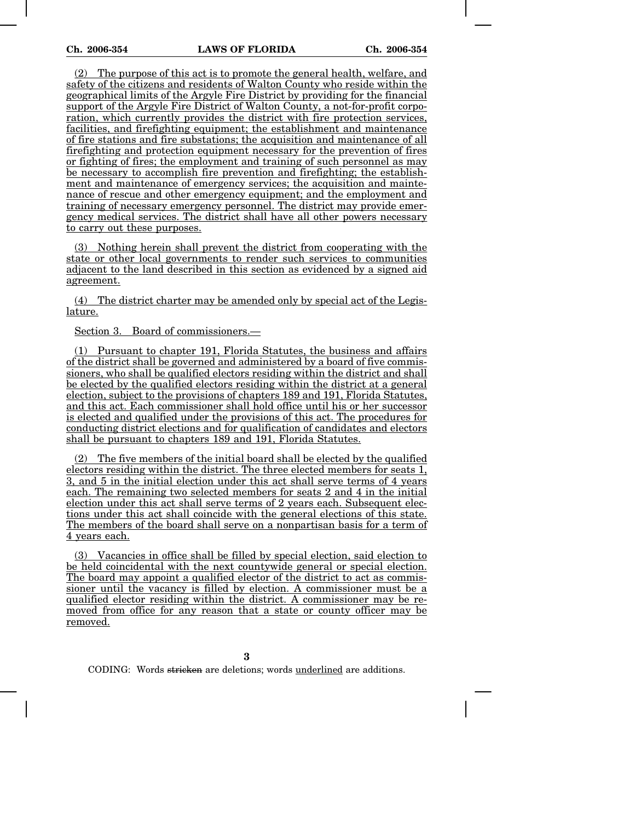(2) The purpose of this act is to promote the general health, welfare, and safety of the citizens and residents of Walton County who reside within the geographical limits of the Argyle Fire District by providing for the financial support of the Argyle Fire District of Walton County, a not-for-profit corporation, which currently provides the district with fire protection services, facilities, and firefighting equipment; the establishment and maintenance of fire stations and fire substations; the acquisition and maintenance of all firefighting and protection equipment necessary for the prevention of fires or fighting of fires; the employment and training of such personnel as may be necessary to accomplish fire prevention and firefighting; the establishment and maintenance of emergency services; the acquisition and maintenance of rescue and other emergency equipment; and the employment and training of necessary emergency personnel. The district may provide emergency medical services. The district shall have all other powers necessary to carry out these purposes.

(3) Nothing herein shall prevent the district from cooperating with the state or other local governments to render such services to communities adjacent to the land described in this section as evidenced by a signed aid agreement.

(4) The district charter may be amended only by special act of the Legislature.

Section 3. Board of commissioners.—

(1) Pursuant to chapter 191, Florida Statutes, the business and affairs of the district shall be governed and administered by a board of five commissioners, who shall be qualified electors residing within the district and shall be elected by the qualified electors residing within the district at a general election, subject to the provisions of chapters 189 and 191, Florida Statutes, and this act. Each commissioner shall hold office until his or her successor is elected and qualified under the provisions of this act. The procedures for conducting district elections and for qualification of candidates and electors shall be pursuant to chapters 189 and 191, Florida Statutes.

(2) The five members of the initial board shall be elected by the qualified electors residing within the district. The three elected members for seats 1, 3, and 5 in the initial election under this act shall serve terms of 4 years each. The remaining two selected members for seats 2 and 4 in the initial election under this act shall serve terms of 2 years each. Subsequent elections under this act shall coincide with the general elections of this state. The members of the board shall serve on a nonpartisan basis for a term of 4 years each.

(3) Vacancies in office shall be filled by special election, said election to be held coincidental with the next countywide general or special election. The board may appoint a qualified elector of the district to act as commissioner until the vacancy is filled by election. A commissioner must be a qualified elector residing within the district. A commissioner may be removed from office for any reason that a state or county officer may be removed.

**3**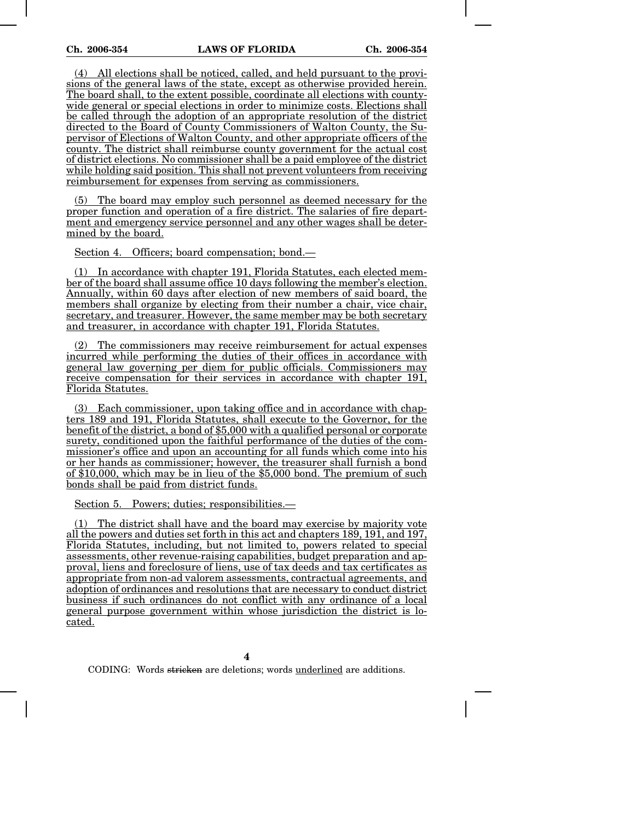(4) All elections shall be noticed, called, and held pursuant to the provisions of the general laws of the state, except as otherwise provided herein. The board shall, to the extent possible, coordinate all elections with countywide general or special elections in order to minimize costs. Elections shall be called through the adoption of an appropriate resolution of the district directed to the Board of County Commissioners of Walton County, the Supervisor of Elections of Walton County, and other appropriate officers of the county. The district shall reimburse county government for the actual cost of district elections. No commissioner shall be a paid employee of the district while holding said position. This shall not prevent volunteers from receiving reimbursement for expenses from serving as commissioners.

The board may employ such personnel as deemed necessary for the proper function and operation of a fire district. The salaries of fire department and emergency service personnel and any other wages shall be determined by the board.

Section 4. Officers; board compensation; bond.—

(1) In accordance with chapter 191, Florida Statutes, each elected member of the board shall assume office 10 days following the member's election. Annually, within 60 days after election of new members of said board, the members shall organize by electing from their number a chair, vice chair, secretary, and treasurer. However, the same member may be both secretary and treasurer, in accordance with chapter 191, Florida Statutes.

(2) The commissioners may receive reimbursement for actual expenses incurred while performing the duties of their offices in accordance with general law governing per diem for public officials. Commissioners may receive compensation for their services in accordance with chapter 191, Florida Statutes.

(3) Each commissioner, upon taking office and in accordance with chapters 189 and 191, Florida Statutes, shall execute to the Governor, for the benefit of the district, a bond of \$5,000 with a qualified personal or corporate surety, conditioned upon the faithful performance of the duties of the commissioner's office and upon an accounting for all funds which come into his or her hands as commissioner; however, the treasurer shall furnish a bond of \$10,000, which may be in lieu of the \$5,000 bond. The premium of such bonds shall be paid from district funds.

Section 5. Powers; duties; responsibilities.—

(1) The district shall have and the board may exercise by majority vote all the powers and duties set forth in this act and chapters 189, 191, and 197, Florida Statutes, including, but not limited to, powers related to special assessments, other revenue-raising capabilities, budget preparation and approval, liens and foreclosure of liens, use of tax deeds and tax certificates as appropriate from non-ad valorem assessments, contractual agreements, and adoption of ordinances and resolutions that are necessary to conduct district business if such ordinances do not conflict with any ordinance of a local general purpose government within whose jurisdiction the district is located.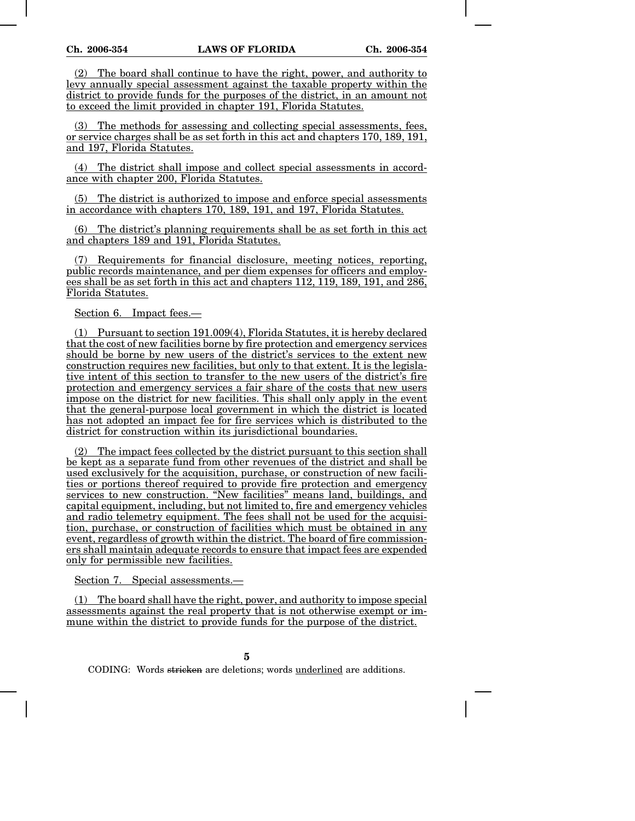(2) The board shall continue to have the right, power, and authority to levy annually special assessment against the taxable property within the district to provide funds for the purposes of the district, in an amount not to exceed the limit provided in chapter 191, Florida Statutes.

(3) The methods for assessing and collecting special assessments, fees, or service charges shall be as set forth in this act and chapters 170, 189, 191, and 197, Florida Statutes.

(4) The district shall impose and collect special assessments in accordance with chapter 200, Florida Statutes.

(5) The district is authorized to impose and enforce special assessments in accordance with chapters 170, 189, 191, and 197, Florida Statutes.

(6) The district's planning requirements shall be as set forth in this act and chapters 189 and 191, Florida Statutes.

(7) Requirements for financial disclosure, meeting notices, reporting, public records maintenance, and per diem expenses for officers and employees shall be as set forth in this act and chapters 112, 119, 189, 191, and 286, Florida Statutes.

Section 6. Impact fees.—

(1) Pursuant to section 191.009(4), Florida Statutes, it is hereby declared that the cost of new facilities borne by fire protection and emergency services should be borne by new users of the district's services to the extent new construction requires new facilities, but only to that extent. It is the legislative intent of this section to transfer to the new users of the district's fire protection and emergency services a fair share of the costs that new users impose on the district for new facilities. This shall only apply in the event that the general-purpose local government in which the district is located has not adopted an impact fee for fire services which is distributed to the district for construction within its jurisdictional boundaries.

(2) The impact fees collected by the district pursuant to this section shall be kept as a separate fund from other revenues of the district and shall be used exclusively for the acquisition, purchase, or construction of new facilities or portions thereof required to provide fire protection and emergency services to new construction. "New facilities" means land, buildings, and capital equipment, including, but not limited to, fire and emergency vehicles and radio telemetry equipment. The fees shall not be used for the acquisition, purchase, or construction of facilities which must be obtained in any event, regardless of growth within the district. The board of fire commissioners shall maintain adequate records to ensure that impact fees are expended only for permissible new facilities.

Section 7. Special assessments.—

(1) The board shall have the right, power, and authority to impose special assessments against the real property that is not otherwise exempt or immune within the district to provide funds for the purpose of the district.

**5**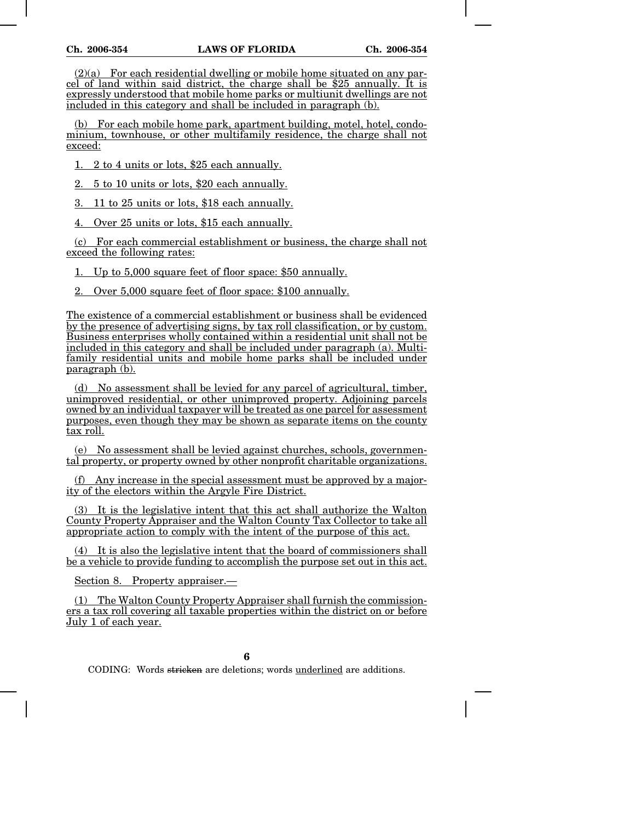$(2)(a)$  For each residential dwelling or mobile home situated on any parcel of land within said district, the charge shall be \$25 annually. It is expressly understood that mobile home parks or multiunit dwellings are not included in this category and shall be included in paragraph (b).

(b) For each mobile home park, apartment building, motel, hotel, condominium, townhouse, or other multifamily residence, the charge shall not exceed:

1. 2 to 4 units or lots, \$25 each annually.

2. 5 to 10 units or lots, \$20 each annually.

3. 11 to 25 units or lots, \$18 each annually.

4. Over 25 units or lots, \$15 each annually.

(c) For each commercial establishment or business, the charge shall not exceed the following rates:

1. Up to 5,000 square feet of floor space: \$50 annually.

2. Over 5,000 square feet of floor space: \$100 annually.

The existence of a commercial establishment or business shall be evidenced by the presence of advertising signs, by tax roll classification, or by custom. Business enterprises wholly contained within a residential unit shall not be included in this category and shall be included under paragraph (a). Multifamily residential units and mobile home parks shall be included under paragraph (b).

(d) No assessment shall be levied for any parcel of agricultural, timber, unimproved residential, or other unimproved property. Adjoining parcels owned by an individual taxpayer will be treated as one parcel for assessment purposes, even though they may be shown as separate items on the county tax roll.

(e) No assessment shall be levied against churches, schools, governmental property, or property owned by other nonprofit charitable organizations.

(f) Any increase in the special assessment must be approved by a majority of the electors within the Argyle Fire District.

(3) It is the legislative intent that this act shall authorize the Walton County Property Appraiser and the Walton County Tax Collector to take all appropriate action to comply with the intent of the purpose of this act.

(4) It is also the legislative intent that the board of commissioners shall be a vehicle to provide funding to accomplish the purpose set out in this act.

Section 8. Property appraiser.—

(1) The Walton County Property Appraiser shall furnish the commissioners a tax roll covering all taxable properties within the district on or before July 1 of each year.

**6**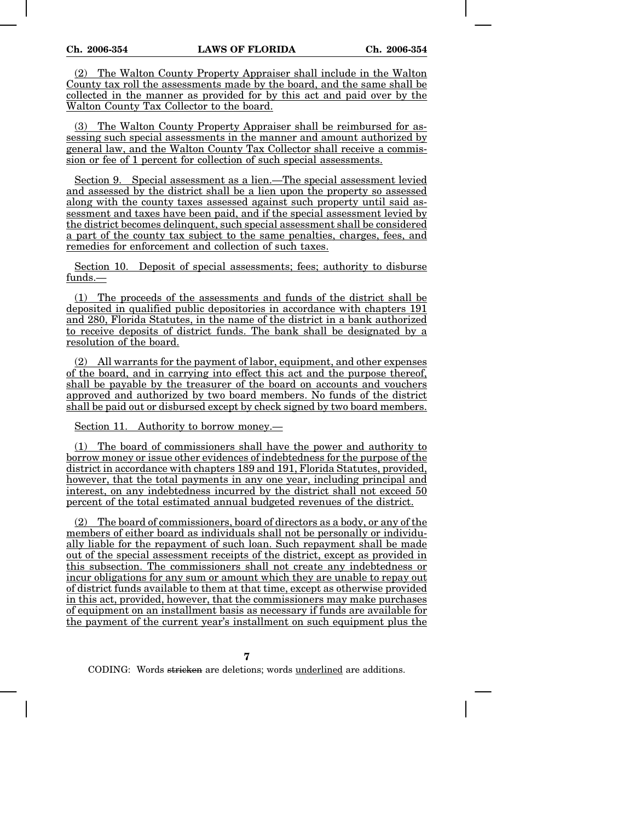(2) The Walton County Property Appraiser shall include in the Walton County tax roll the assessments made by the board, and the same shall be collected in the manner as provided for by this act and paid over by the Walton County Tax Collector to the board.

(3) The Walton County Property Appraiser shall be reimbursed for assessing such special assessments in the manner and amount authorized by general law, and the Walton County Tax Collector shall receive a commission or fee of 1 percent for collection of such special assessments.

Section 9. Special assessment as a lien.—The special assessment levied and assessed by the district shall be a lien upon the property so assessed along with the county taxes assessed against such property until said assessment and taxes have been paid, and if the special assessment levied by the district becomes delinquent, such special assessment shall be considered a part of the county tax subject to the same penalties, charges, fees, and remedies for enforcement and collection of such taxes.

Section 10. Deposit of special assessments; fees; authority to disburse funds.—

(1) The proceeds of the assessments and funds of the district shall be deposited in qualified public depositories in accordance with chapters 191 and 280, Florida Statutes, in the name of the district in a bank authorized to receive deposits of district funds. The bank shall be designated by a resolution of the board.

(2) All warrants for the payment of labor, equipment, and other expenses of the board, and in carrying into effect this act and the purpose thereof, shall be payable by the treasurer of the board on accounts and vouchers approved and authorized by two board members. No funds of the district shall be paid out or disbursed except by check signed by two board members.

Section 11. Authority to borrow money.—

(1) The board of commissioners shall have the power and authority to borrow money or issue other evidences of indebtedness for the purpose of the district in accordance with chapters 189 and 191, Florida Statutes, provided, however, that the total payments in any one year, including principal and interest, on any indebtedness incurred by the district shall not exceed 50 percent of the total estimated annual budgeted revenues of the district.

(2) The board of commissioners, board of directors as a body, or any of the members of either board as individuals shall not be personally or individually liable for the repayment of such loan. Such repayment shall be made out of the special assessment receipts of the district, except as provided in this subsection. The commissioners shall not create any indebtedness or incur obligations for any sum or amount which they are unable to repay out of district funds available to them at that time, except as otherwise provided in this act, provided, however, that the commissioners may make purchases of equipment on an installment basis as necessary if funds are available for the payment of the current year's installment on such equipment plus the

**7**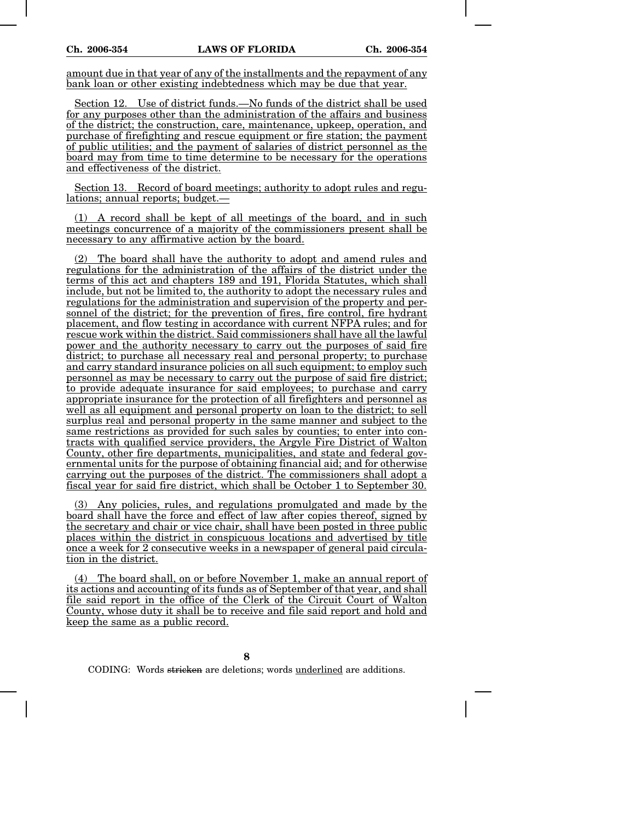amount due in that year of any of the installments and the repayment of any bank loan or other existing indebtedness which may be due that year.

Section 12. Use of district funds.—No funds of the district shall be used for any purposes other than the administration of the affairs and business of the district; the construction, care, maintenance, upkeep, operation, and purchase of firefighting and rescue equipment or fire station; the payment of public utilities; and the payment of salaries of district personnel as the board may from time to time determine to be necessary for the operations and effectiveness of the district.

Section 13. Record of board meetings; authority to adopt rules and regulations; annual reports; budget.—

(1) A record shall be kept of all meetings of the board, and in such meetings concurrence of a majority of the commissioners present shall be necessary to any affirmative action by the board.

(2) The board shall have the authority to adopt and amend rules and regulations for the administration of the affairs of the district under the terms of this act and chapters 189 and 191, Florida Statutes, which shall include, but not be limited to, the authority to adopt the necessary rules and regulations for the administration and supervision of the property and personnel of the district; for the prevention of fires, fire control, fire hydrant placement, and flow testing in accordance with current NFPA rules; and for rescue work within the district. Said commissioners shall have all the lawful power and the authority necessary to carry out the purposes of said fire district; to purchase all necessary real and personal property; to purchase and carry standard insurance policies on all such equipment; to employ such personnel as may be necessary to carry out the purpose of said fire district; to provide adequate insurance for said employees; to purchase and carry appropriate insurance for the protection of all firefighters and personnel as well as all equipment and personal property on loan to the district; to sell surplus real and personal property in the same manner and subject to the same restrictions as provided for such sales by counties; to enter into contracts with qualified service providers, the Argyle Fire District of Walton County, other fire departments, municipalities, and state and federal governmental units for the purpose of obtaining financial aid; and for otherwise carrying out the purposes of the district. The commissioners shall adopt a fiscal year for said fire district, which shall be October 1 to September 30.

(3) Any policies, rules, and regulations promulgated and made by the board shall have the force and effect of law after copies thereof, signed by the secretary and chair or vice chair, shall have been posted in three public places within the district in conspicuous locations and advertised by title once a week for 2 consecutive weeks in a newspaper of general paid circulation in the district.

(4) The board shall, on or before November 1, make an annual report of its actions and accounting of its funds as of September of that year, and shall file said report in the office of the Clerk of the Circuit Court of Walton County, whose duty it shall be to receive and file said report and hold and keep the same as a public record.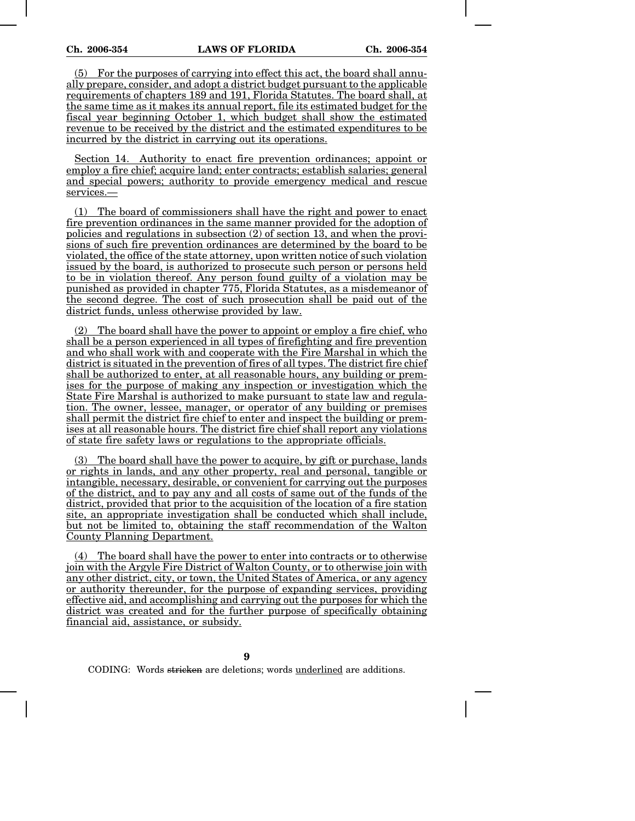(5) For the purposes of carrying into effect this act, the board shall annually prepare, consider, and adopt a district budget pursuant to the applicable requirements of chapters 189 and 191, Florida Statutes. The board shall, at the same time as it makes its annual report, file its estimated budget for the fiscal year beginning October 1, which budget shall show the estimated revenue to be received by the district and the estimated expenditures to be incurred by the district in carrying out its operations.

Section 14. Authority to enact fire prevention ordinances; appoint or employ a fire chief; acquire land; enter contracts; establish salaries; general and special powers; authority to provide emergency medical and rescue services.—

(1) The board of commissioners shall have the right and power to enact fire prevention ordinances in the same manner provided for the adoption of policies and regulations in subsection (2) of section 13, and when the provisions of such fire prevention ordinances are determined by the board to be violated, the office of the state attorney, upon written notice of such violation issued by the board, is authorized to prosecute such person or persons held to be in violation thereof. Any person found guilty of a violation may be punished as provided in chapter 775, Florida Statutes, as a misdemeanor of the second degree. The cost of such prosecution shall be paid out of the district funds, unless otherwise provided by law.

(2) The board shall have the power to appoint or employ a fire chief, who shall be a person experienced in all types of firefighting and fire prevention and who shall work with and cooperate with the Fire Marshal in which the district is situated in the prevention of fires of all types. The district fire chief shall be authorized to enter, at all reasonable hours, any building or premises for the purpose of making any inspection or investigation which the State Fire Marshal is authorized to make pursuant to state law and regulation. The owner, lessee, manager, or operator of any building or premises shall permit the district fire chief to enter and inspect the building or premises at all reasonable hours. The district fire chief shall report any violations of state fire safety laws or regulations to the appropriate officials.

(3) The board shall have the power to acquire, by gift or purchase, lands or rights in lands, and any other property, real and personal, tangible or intangible, necessary, desirable, or convenient for carrying out the purposes of the district, and to pay any and all costs of same out of the funds of the district, provided that prior to the acquisition of the location of a fire station site, an appropriate investigation shall be conducted which shall include, but not be limited to, obtaining the staff recommendation of the Walton County Planning Department.

(4) The board shall have the power to enter into contracts or to otherwise join with the Argyle Fire District of Walton County, or to otherwise join with any other district, city, or town, the United States of America, or any agency or authority thereunder, for the purpose of expanding services, providing effective aid, and accomplishing and carrying out the purposes for which the district was created and for the further purpose of specifically obtaining financial aid, assistance, or subsidy.

**9**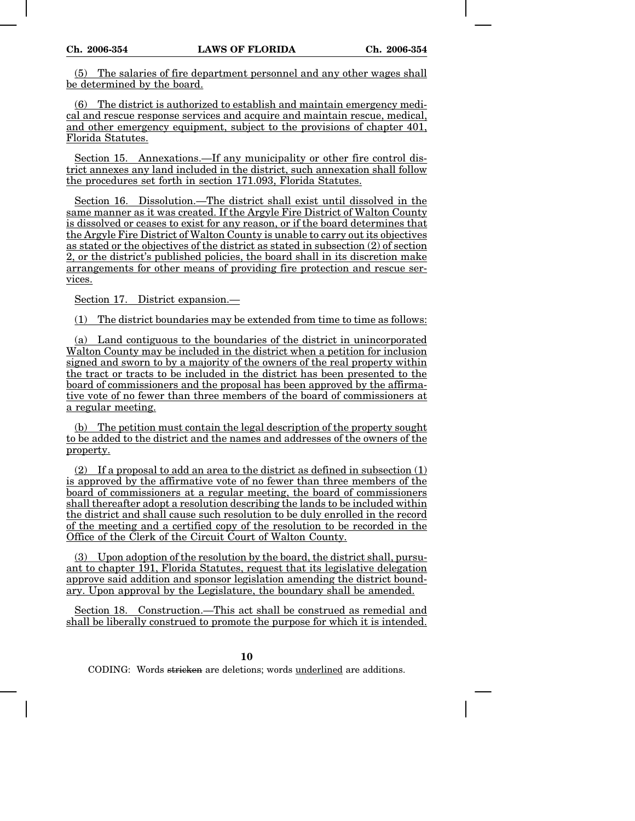(5) The salaries of fire department personnel and any other wages shall be determined by the board.

(6) The district is authorized to establish and maintain emergency medical and rescue response services and acquire and maintain rescue, medical, and other emergency equipment, subject to the provisions of chapter 401, Florida Statutes.

Section 15. Annexations.—If any municipality or other fire control district annexes any land included in the district, such annexation shall follow the procedures set forth in section 171.093, Florida Statutes.

Section 16. Dissolution.—The district shall exist until dissolved in the same manner as it was created. If the Argyle Fire District of Walton County is dissolved or ceases to exist for any reason, or if the board determines that the Argyle Fire District of Walton County is unable to carry out its objectives as stated or the objectives of the district as stated in subsection (2) of section 2, or the district's published policies, the board shall in its discretion make arrangements for other means of providing fire protection and rescue services.

Section 17. District expansion.—

(1) The district boundaries may be extended from time to time as follows:

(a) Land contiguous to the boundaries of the district in unincorporated Walton County may be included in the district when a petition for inclusion signed and sworn to by a majority of the owners of the real property within the tract or tracts to be included in the district has been presented to the board of commissioners and the proposal has been approved by the affirmative vote of no fewer than three members of the board of commissioners at a regular meeting.

(b) The petition must contain the legal description of the property sought to be added to the district and the names and addresses of the owners of the property.

 $(2)$  If a proposal to add an area to the district as defined in subsection  $(1)$ is approved by the affirmative vote of no fewer than three members of the board of commissioners at a regular meeting, the board of commissioners shall thereafter adopt a resolution describing the lands to be included within the district and shall cause such resolution to be duly enrolled in the record of the meeting and a certified copy of the resolution to be recorded in the Office of the Clerk of the Circuit Court of Walton County.

(3) Upon adoption of the resolution by the board, the district shall, pursuant to chapter 191, Florida Statutes, request that its legislative delegation approve said addition and sponsor legislation amending the district boundary. Upon approval by the Legislature, the boundary shall be amended.

Section 18. Construction.—This act shall be construed as remedial and shall be liberally construed to promote the purpose for which it is intended.

**10**